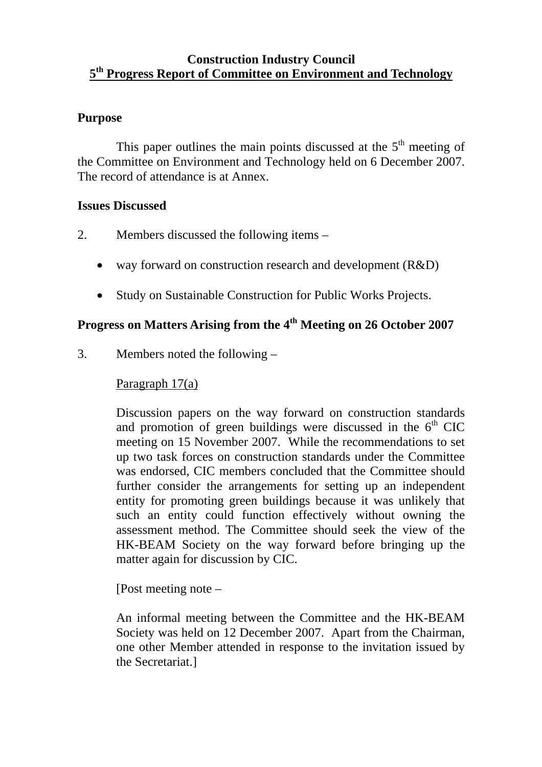#### **Construction Industry Council 5th Progress Report of Committee on Environment and Technology**

#### **Purpose**

This paper outlines the main points discussed at the  $5<sup>th</sup>$  meeting of the Committee on Environment and Technology held on 6 December 2007. The record of attendance is at Annex.

#### **Issues Discussed**

- 2. Members discussed the following items
	- way forward on construction research and development (R&D)
	- Study on Sustainable Construction for Public Works Projects.

## **Progress on Matters Arising from the 4th Meeting on 26 October 2007**

3. Members noted the following –

#### Paragraph 17(a)

Discussion papers on the way forward on construction standards and promotion of green buildings were discussed in the  $6<sup>th</sup>$  CIC meeting on 15 November 2007. While the recommendations to set up two task forces on construction standards under the Committee was endorsed, CIC members concluded that the Committee should further consider the arrangements for setting up an independent entity for promoting green buildings because it was unlikely that such an entity could function effectively without owning the assessment method. The Committee should seek the view of the HK-BEAM Society on the way forward before bringing up the matter again for discussion by CIC.

[Post meeting note –

An informal meeting between the Committee and the HK-BEAM Society was held on 12 December 2007. Apart from the Chairman, one other Member attended in response to the invitation issued by the Secretariat.]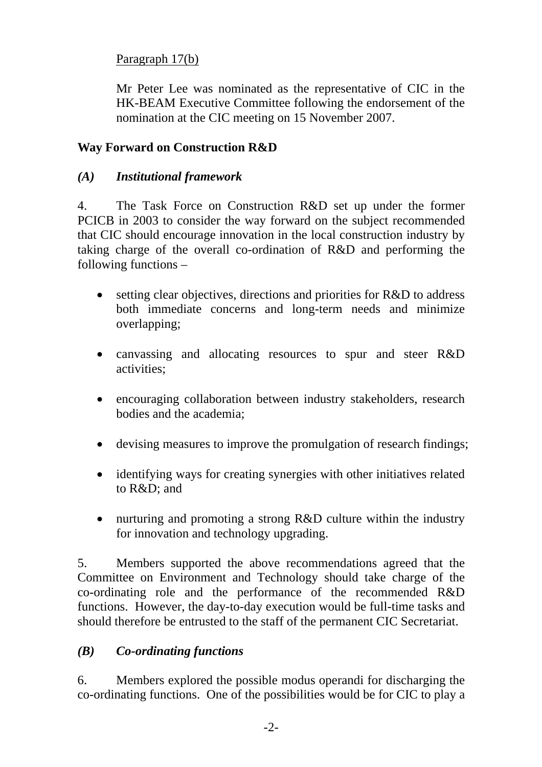### Paragraph 17(b)

Mr Peter Lee was nominated as the representative of CIC in the HK-BEAM Executive Committee following the endorsement of the nomination at the CIC meeting on 15 November 2007.

#### **Way Forward on Construction R&D**

### *(A) Institutional framework*

4. The Task Force on Construction R&D set up under the former PCICB in 2003 to consider the way forward on the subject recommended that CIC should encourage innovation in the local construction industry by taking charge of the overall co-ordination of R&D and performing the following functions –

- setting clear objectives, directions and priorities for R&D to address both immediate concerns and long-term needs and minimize overlapping;
- canvassing and allocating resources to spur and steer R&D activities;
- encouraging collaboration between industry stakeholders, research bodies and the academia;
- devising measures to improve the promulgation of research findings;
- identifying ways for creating synergies with other initiatives related to R&D; and
- nurturing and promoting a strong R&D culture within the industry for innovation and technology upgrading.

5. Members supported the above recommendations agreed that the Committee on Environment and Technology should take charge of the co-ordinating role and the performance of the recommended R&D functions. However, the day-to-day execution would be full-time tasks and should therefore be entrusted to the staff of the permanent CIC Secretariat.

### *(B) Co-ordinating functions*

6. Members explored the possible modus operandi for discharging the co-ordinating functions. One of the possibilities would be for CIC to play a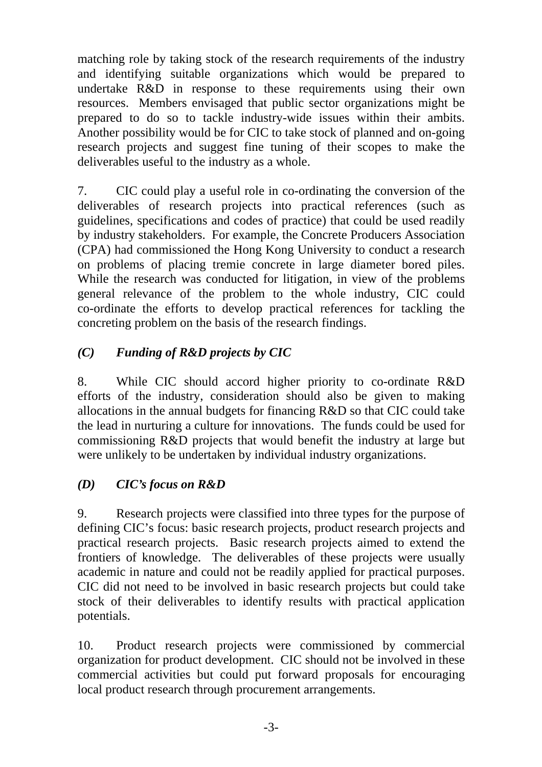matching role by taking stock of the research requirements of the industry and identifying suitable organizations which would be prepared to undertake R&D in response to these requirements using their own resources. Members envisaged that public sector organizations might be prepared to do so to tackle industry-wide issues within their ambits. Another possibility would be for CIC to take stock of planned and on-going research projects and suggest fine tuning of their scopes to make the deliverables useful to the industry as a whole.

7. CIC could play a useful role in co-ordinating the conversion of the deliverables of research projects into practical references (such as guidelines, specifications and codes of practice) that could be used readily by industry stakeholders. For example, the Concrete Producers Association (CPA) had commissioned the Hong Kong University to conduct a research on problems of placing tremie concrete in large diameter bored piles. While the research was conducted for litigation, in view of the problems general relevance of the problem to the whole industry, CIC could co-ordinate the efforts to develop practical references for tackling the concreting problem on the basis of the research findings.

### *(C) Funding of R&D projects by CIC*

8. While CIC should accord higher priority to co-ordinate R&D efforts of the industry, consideration should also be given to making allocations in the annual budgets for financing R&D so that CIC could take the lead in nurturing a culture for innovations. The funds could be used for commissioning R&D projects that would benefit the industry at large but were unlikely to be undertaken by individual industry organizations.

## *(D) CIC's focus on R&D*

9. Research projects were classified into three types for the purpose of defining CIC's focus: basic research projects, product research projects and practical research projects. Basic research projects aimed to extend the frontiers of knowledge. The deliverables of these projects were usually academic in nature and could not be readily applied for practical purposes. CIC did not need to be involved in basic research projects but could take stock of their deliverables to identify results with practical application potentials.

10. Product research projects were commissioned by commercial organization for product development. CIC should not be involved in these commercial activities but could put forward proposals for encouraging local product research through procurement arrangements.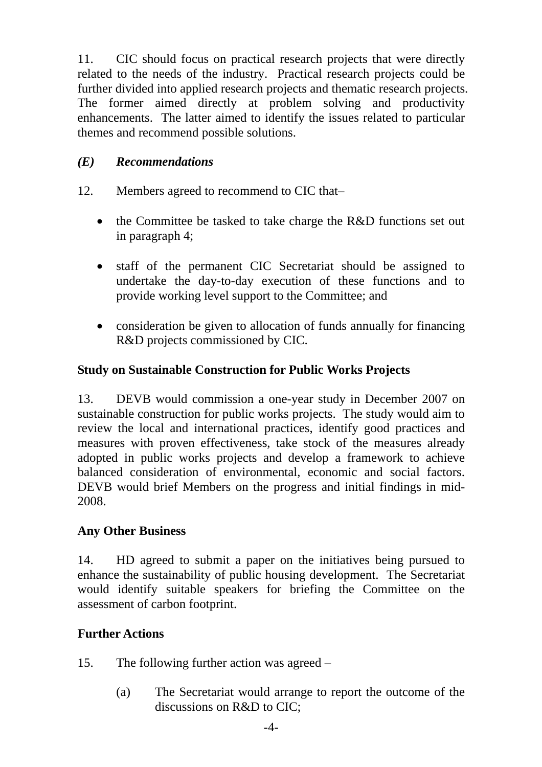11. CIC should focus on practical research projects that were directly related to the needs of the industry. Practical research projects could be further divided into applied research projects and thematic research projects. The former aimed directly at problem solving and productivity enhancements. The latter aimed to identify the issues related to particular themes and recommend possible solutions.

### *(E) Recommendations*

- 12. Members agreed to recommend to CIC that–
	- the Committee be tasked to take charge the R&D functions set out in paragraph 4;
	- staff of the permanent CIC Secretariat should be assigned to undertake the day-to-day execution of these functions and to provide working level support to the Committee; and
	- consideration be given to allocation of funds annually for financing R&D projects commissioned by CIC.

### **Study on Sustainable Construction for Public Works Projects**

13. DEVB would commission a one-year study in December 2007 on sustainable construction for public works projects. The study would aim to review the local and international practices, identify good practices and measures with proven effectiveness, take stock of the measures already adopted in public works projects and develop a framework to achieve balanced consideration of environmental, economic and social factors. DEVB would brief Members on the progress and initial findings in mid-2008.

#### **Any Other Business**

14. HD agreed to submit a paper on the initiatives being pursued to enhance the sustainability of public housing development. The Secretariat would identify suitable speakers for briefing the Committee on the assessment of carbon footprint.

#### **Further Actions**

- 15. The following further action was agreed
	- (a) The Secretariat would arrange to report the outcome of the discussions on R&D to CIC;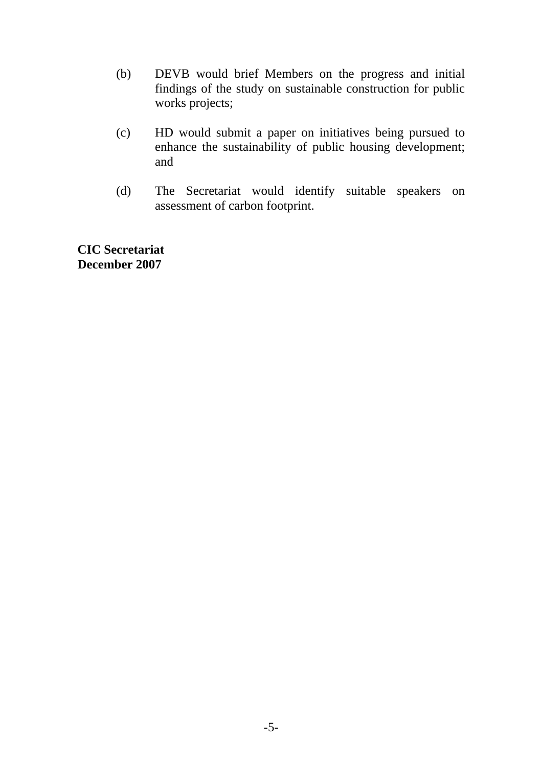- (b) DEVB would brief Members on the progress and initial findings of the study on sustainable construction for public works projects;
- (c) HD would submit a paper on initiatives being pursued to enhance the sustainability of public housing development; and
- (d) The Secretariat would identify suitable speakers on assessment of carbon footprint.

**CIC Secretariat December 2007**